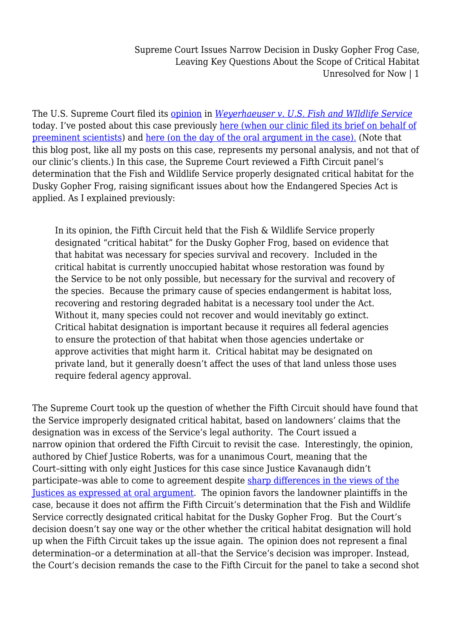The U.S. Supreme Court filed its [opinion](https://www.supremecourt.gov/DocketPDF/17/17-71/52317/20180705134216763_17-71%20bsac%20Scientists.pdf) in *[Weyerhaeuser v. U.S. Fish and WIldlife Service](http://www.scotusblog.com/case-files/cases/weyerhaeuser-company-v-united-states-fish-wildlife-service/)* today. I've posted about this case previously [here \(when our clinic filed its brief on behalf of](http://legal-planet.org/2018/07/09/ucla-law-wells-environmental-law-clinic-files-brief-on-behalf-of-scientists-in-endangered-species-act-case/) [preeminent scientists\)](http://legal-planet.org/2018/07/09/ucla-law-wells-environmental-law-clinic-files-brief-on-behalf-of-scientists-in-endangered-species-act-case/) and [here \(on the day of the oral argument in the case\).](http://legal-planet.org/2018/10/01/the-endangered-species-act-in-the-supreme-court-oral-argument-today-in-weyerhaeuser-v-us-fish-wildlife-service/) (Note that this blog post, like all my posts on this case, represents my personal analysis, and not that of our clinic's clients.) In this case, the Supreme Court reviewed a Fifth Circuit panel's determination that the Fish and Wildlife Service properly designated critical habitat for the Dusky Gopher Frog, raising significant issues about how the Endangered Species Act is applied. As I explained previously:

In its opinion, the Fifth Circuit held that the Fish & Wildlife Service properly designated "critical habitat" for the Dusky Gopher Frog, based on evidence that that habitat was necessary for species survival and recovery. Included in the critical habitat is currently unoccupied habitat whose restoration was found by the Service to be not only possible, but necessary for the survival and recovery of the species. Because the primary cause of species endangerment is habitat loss, recovering and restoring degraded habitat is a necessary tool under the Act. Without it, many species could not recover and would inevitably go extinct. Critical habitat designation is important because it requires all federal agencies to ensure the protection of that habitat when those agencies undertake or approve activities that might harm it. Critical habitat may be designated on private land, but it generally doesn't affect the uses of that land unless those uses require federal agency approval.

The Supreme Court took up the question of whether the Fifth Circuit should have found that the Service improperly designated critical habitat, based on landowners' claims that the designation was in excess of the Service's legal authority. The Court issued a narrow opinion that ordered the Fifth Circuit to revisit the case. Interestingly, the opinion, authored by Chief Justice Roberts, was for a unanimous Court, meaning that the Court–sitting with only eight Justices for this case since Justice Kavanaugh didn't participate–was able to come to agreement despite [sharp differences in the views of the](http://www.scotusblog.com/2018/10/argument-analysis-justices-jostle-over-endangered-frogs-critical-habitat/) [Justices as expressed at oral argument](http://www.scotusblog.com/2018/10/argument-analysis-justices-jostle-over-endangered-frogs-critical-habitat/). The opinion favors the landowner plaintiffs in the case, because it does not affirm the Fifth Circuit's determination that the Fish and Wildlife Service correctly designated critical habitat for the Dusky Gopher Frog. But the Court's decision doesn't say one way or the other whether the critical habitat designation will hold up when the Fifth Circuit takes up the issue again. The opinion does not represent a final determination–or a determination at all–that the Service's decision was improper. Instead, the Court's decision remands the case to the Fifth Circuit for the panel to take a second shot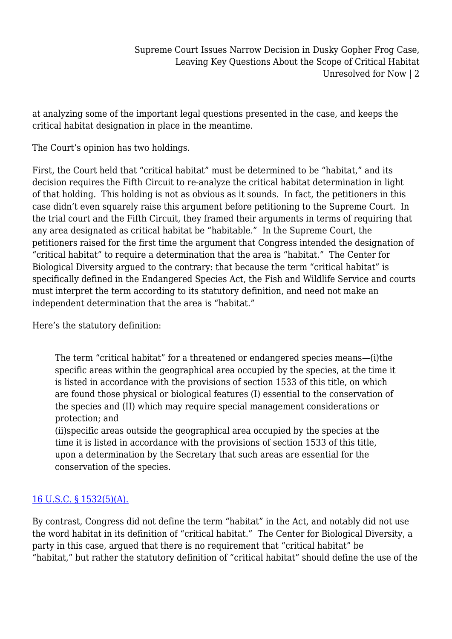at analyzing some of the important legal questions presented in the case, and keeps the critical habitat designation in place in the meantime.

The Court's opinion has two holdings.

First, the Court held that "critical habitat" must be determined to be "habitat," and its decision requires the Fifth Circuit to re-analyze the critical habitat determination in light of that holding. This holding is not as obvious as it sounds. In fact, the petitioners in this case didn't even squarely raise this argument before petitioning to the Supreme Court. In the trial court and the Fifth Circuit, they framed their arguments in terms of requiring that any area designated as critical habitat be "habitable." In the Supreme Court, the petitioners raised for the first time the argument that Congress intended the designation of "critical habitat" to require a determination that the area is "habitat." The Center for Biological Diversity argued to the contrary: that because the term "critical habitat" is specifically defined in the Endangered Species Act, the Fish and Wildlife Service and courts must interpret the term according to its statutory definition, and need not make an independent determination that the area is "habitat."

Here's the statutory definition:

The term "critical habitat" for a threatened or endangered species means—(i)the specific areas within the geographical area occupied by the species, at the time it is listed in accordance with the provisions of section 1533 of this title, on which are found those physical or biological features (I) essential to the conservation of the species and (II) which may require special management considerations or protection; and

(ii)specific areas outside the geographical area occupied by the species at the time it is listed in accordance with the provisions of section 1533 of this title, upon a determination by the Secretary that such areas are essential for the conservation of the species.

## [16 U.S.C. § 1532\(5\)\(A\).](https://www.law.cornell.edu/uscode/text/16/1532)

By contrast, Congress did not define the term "habitat" in the Act, and notably did not use the word habitat in its definition of "critical habitat." The Center for Biological Diversity, a party in this case, argued that there is no requirement that "critical habitat" be "habitat," but rather the statutory definition of "critical habitat" should define the use of the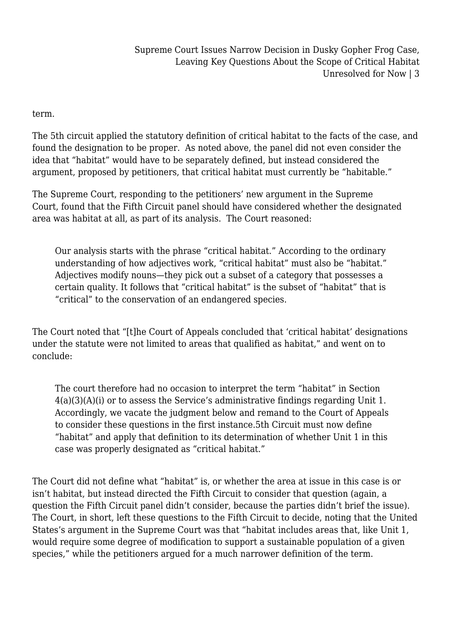term.

The 5th circuit applied the statutory definition of critical habitat to the facts of the case, and found the designation to be proper. As noted above, the panel did not even consider the idea that "habitat" would have to be separately defined, but instead considered the argument, proposed by petitioners, that critical habitat must currently be "habitable."

The Supreme Court, responding to the petitioners' new argument in the Supreme Court, found that the Fifth Circuit panel should have considered whether the designated area was habitat at all, as part of its analysis. The Court reasoned:

Our analysis starts with the phrase "critical habitat." According to the ordinary understanding of how adjectives work, "critical habitat" must also be "habitat." Adjectives modify nouns—they pick out a subset of a category that possesses a certain quality. It follows that "critical habitat" is the subset of "habitat" that is "critical" to the conservation of an endangered species.

The Court noted that "[t]he Court of Appeals concluded that 'critical habitat' designations under the statute were not limited to areas that qualified as habitat," and went on to conclude:

The court therefore had no occasion to interpret the term "habitat" in Section 4(a)(3)(A)(i) or to assess the Service's administrative findings regarding Unit 1. Accordingly, we vacate the judgment below and remand to the Court of Appeals to consider these questions in the first instance.5th Circuit must now define "habitat" and apply that definition to its determination of whether Unit 1 in this case was properly designated as "critical habitat."

The Court did not define what "habitat" is, or whether the area at issue in this case is or isn't habitat, but instead directed the Fifth Circuit to consider that question (again, a question the Fifth Circuit panel didn't consider, because the parties didn't brief the issue). The Court, in short, left these questions to the Fifth Circuit to decide, noting that the United States's argument in the Supreme Court was that "habitat includes areas that, like Unit 1, would require some degree of modification to support a sustainable population of a given species," while the petitioners argued for a much narrower definition of the term.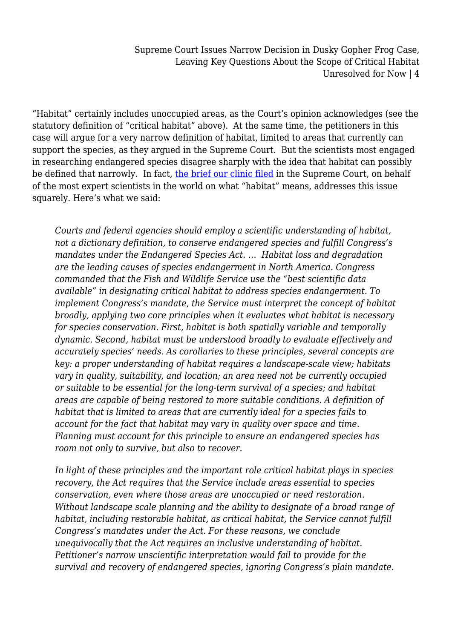"Habitat" certainly includes unoccupied areas, as the Court's opinion acknowledges (see the statutory definition of "critical habitat" above). At the same time, the petitioners in this case will argue for a very narrow definition of habitat, limited to areas that currently can support the species, as they argued in the Supreme Court. But the scientists most engaged in researching endangered species disagree sharply with the idea that habitat can possibly be defined that narrowly. In fact, [the brief our clinic filed](https://www.supremecourt.gov/DocketPDF/17/17-71/52317/20180705134216763_17-71%20bsac%20Scientists.pdf) in the Supreme Court, on behalf of the most expert scientists in the world on what "habitat" means, addresses this issue squarely. Here's what we said:

*Courts and federal agencies should employ a scientific understanding of habitat, not a dictionary definition, to conserve endangered species and fulfill Congress's mandates under the Endangered Species Act. … Habitat loss and degradation are the leading causes of species endangerment in North America. Congress commanded that the Fish and Wildlife Service use the "best scientific data available" in designating critical habitat to address species endangerment. To implement Congress's mandate, the Service must interpret the concept of habitat broadly, applying two core principles when it evaluates what habitat is necessary for species conservation. First, habitat is both spatially variable and temporally dynamic. Second, habitat must be understood broadly to evaluate effectively and accurately species' needs. As corollaries to these principles, several concepts are key: a proper understanding of habitat requires a landscape-scale view; habitats vary in quality, suitability, and location; an area need not be currently occupied or suitable to be essential for the long-term survival of a species; and habitat areas are capable of being restored to more suitable conditions. A definition of habitat that is limited to areas that are currently ideal for a species fails to account for the fact that habitat may vary in quality over space and time. Planning must account for this principle to ensure an endangered species has room not only to survive, but also to recover.*

*In light of these principles and the important role critical habitat plays in species recovery, the Act requires that the Service include areas essential to species conservation, even where those areas are unoccupied or need restoration. Without landscape scale planning and the ability to designate of a broad range of habitat, including restorable habitat, as critical habitat, the Service cannot fulfill Congress's mandates under the Act. For these reasons, we conclude unequivocally that the Act requires an inclusive understanding of habitat. Petitioner's narrow unscientific interpretation would fail to provide for the survival and recovery of endangered species, ignoring Congress's plain mandate.*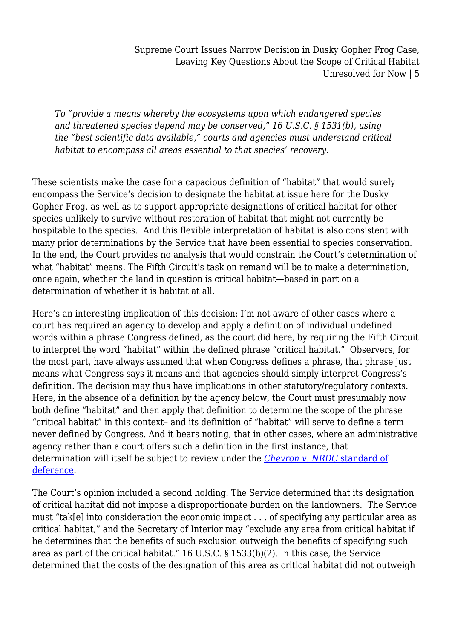*To "provide a means whereby the ecosystems upon which endangered species and threatened species depend may be conserved," 16 U.S.C. § 1531(b), using the "best scientific data available," courts and agencies must understand critical habitat to encompass all areas essential to that species' recovery.*

These scientists make the case for a capacious definition of "habitat" that would surely encompass the Service's decision to designate the habitat at issue here for the Dusky Gopher Frog, as well as to support appropriate designations of critical habitat for other species unlikely to survive without restoration of habitat that might not currently be hospitable to the species. And this flexible interpretation of habitat is also consistent with many prior determinations by the Service that have been essential to species conservation. In the end, the Court provides no analysis that would constrain the Court's determination of what "habitat" means. The Fifth Circuit's task on remand will be to make a determination, once again, whether the land in question is critical habitat—based in part on a determination of whether it is habitat at all.

Here's an interesting implication of this decision: I'm not aware of other cases where a court has required an agency to develop and apply a definition of individual undefined words within a phrase Congress defined, as the court did here, by requiring the Fifth Circuit to interpret the word "habitat" within the defined phrase "critical habitat." Observers, for the most part, have always assumed that when Congress defines a phrase, that phrase just means what Congress says it means and that agencies should simply interpret Congress's definition. The decision may thus have implications in other statutory/regulatory contexts. Here, in the absence of a definition by the agency below, the Court must presumably now both define "habitat" and then apply that definition to determine the scope of the phrase "critical habitat" in this context– and its definition of "habitat" will serve to define a term never defined by Congress. And it bears noting, that in other cases, where an administrative agency rather than a court offers such a definition in the first instance, that determination will itself be subject to review under the *[Chevron v. NRDC](http://legal-planet.org/2017/10/23/everything-you-always-wanted-to-know-about-the-chevron-doctrine/)* [standard of](http://legal-planet.org/2017/10/23/everything-you-always-wanted-to-know-about-the-chevron-doctrine/) [deference](http://legal-planet.org/2017/10/23/everything-you-always-wanted-to-know-about-the-chevron-doctrine/).

The Court's opinion included a second holding. The Service determined that its designation of critical habitat did not impose a disproportionate burden on the landowners. The Service must "tak[e] into consideration the economic impact . . . of specifying any particular area as critical habitat," and the Secretary of Interior may "exclude any area from critical habitat if he determines that the benefits of such exclusion outweigh the benefits of specifying such area as part of the critical habitat." 16 U.S.C. § 1533(b)(2). In this case, the Service determined that the costs of the designation of this area as critical habitat did not outweigh